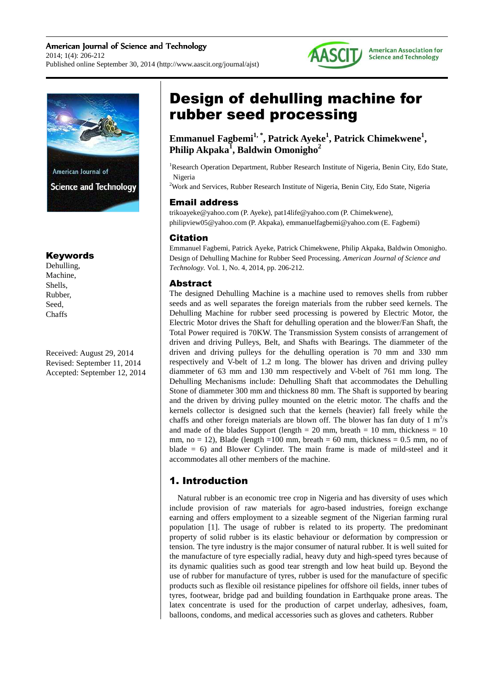### American Journal of Science and Technology 2014; 1(4): 206-212 Published online September 30, 2014 (http://www.aascit.org/journal/ajst)





### Keywords

Dehulling, Machine, Shells, Rubber, Seed, **Chaffs** 

Received: August 29, 2014 Revised: September 11, 2014 Accepted: September 12, 2014

# Design of dehulling machine for rubber seed processing

**Emmanuel Fagbemi1, \*, Patrick Ayeke<sup>1</sup> , Patrick Chimekwene<sup>1</sup> , Philip Akpaka<sup>1</sup> , Baldwin Omonigho<sup>2</sup>**

<sup>1</sup>Research Operation Department, Rubber Research Institute of Nigeria, Benin City, Edo State, Nigeria

<sup>2</sup>Work and Services, Rubber Research Institute of Nigeria, Benin City, Edo State, Nigeria

### Email address

trikoayeke@yahoo.com (P. Ayeke), pat14life@yahoo.com (P. Chimekwene), philipview05@yahoo.com (P. Akpaka), emmanuelfagbemi@yahoo.com (E. Fagbemi)

### Citation

Emmanuel Fagbemi, Patrick Ayeke, Patrick Chimekwene, Philip Akpaka, Baldwin Omonigho. Design of Dehulling Machine for Rubber Seed Processing. *American Journal of Science and Technology.* Vol. 1, No. 4, 2014, pp. 206-212.

### Abstract

The designed Dehulling Machine is a machine used to removes shells from rubber seeds and as well separates the foreign materials from the rubber seed kernels. The Dehulling Machine for rubber seed processing is powered by Electric Motor, the Electric Motor drives the Shaft for dehulling operation and the blower/Fan Shaft, the Total Power required is 70KW. The Transmission System consists of arrangement of driven and driving Pulleys, Belt, and Shafts with Bearings. The diammeter of the driven and driving pulleys for the dehulling operation is 70 mm and 330 mm respectively and V-belt of 1.2 m long. The blower has driven and driving pulley diammeter of 63 mm and 130 mm respectively and V-belt of 761 mm long. The Dehulling Mechanisms include: Dehulling Shaft that accommodates the Dehulling Stone of diammeter 300 mm and thickness 80 mm. The Shaft is supported by bearing and the driven by driving pulley mounted on the eletric motor. The chaffs and the kernels collector is designed such that the kernels (heavier) fall freely while the chaffs and other foreign materials are blown off. The blower has fan duty of  $1 \text{ m}^3/\text{s}$ and made of the blades Support (length =  $20 \text{ mm}$ , breath =  $10 \text{ mm}$ , thickness =  $10 \text{ mm}$ mm, no = 12), Blade (length =100 mm, breath = 60 mm, thickness = 0.5 mm, no of blade  $= 6$ ) and Blower Cylinder. The main frame is made of mild-steel and it accommodates all other members of the machine.

## 1. Introduction

Natural rubber is an economic tree crop in Nigeria and has diversity of uses which include provision of raw materials for agro-based industries, foreign exchange earning and offers employment to a sizeable segment of the Nigerian farming rural population [1]. The usage of rubber is related to its property. The predominant property of solid rubber is its elastic behaviour or deformation by compression or tension. The tyre industry is the major consumer of natural rubber. It is well suited for the manufacture of tyre especially radial, heavy duty and high-speed tyres because of its dynamic qualities such as good tear strength and low heat build up. Beyond the use of rubber for manufacture of tyres, rubber is used for the manufacture of specific products such as flexible oil resistance pipelines for offshore oil fields, inner tubes of tyres, footwear, bridge pad and building foundation in Earthquake prone areas. The latex concentrate is used for the production of carpet underlay, adhesives, foam, balloons, condoms, and medical accessories such as gloves and catheters. Rubber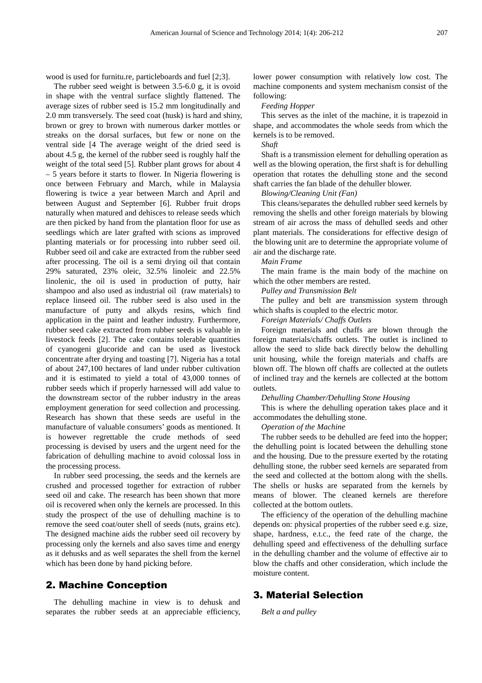wood is used for furnitu.re, particleboards and fuel [2;3].

The rubber seed weight is between 3.5-6.0 g, it is ovoid in shape with the ventral surface slightly flattened. The average sizes of rubber seed is 15.2 mm longitudinally and 2.0 mm transversely. The seed coat (husk) is hard and shiny, brown or grey to brown with numerous darker mottles or streaks on the dorsal surfaces, but few or none on the ventral side [4 The average weight of the dried seed is about 4.5 g, the kernel of the rubber seed is roughly half the weight of the total seed [5]. Rubber plant grows for about 4 – 5 years before it starts to flower. In Nigeria flowering is once between February and March, while in Malaysia flowering is twice a year between March and April and between August and September [6]. Rubber fruit drops naturally when matured and dehisces to release seeds which are then picked by hand from the plantation floor for use as seedlings which are later grafted with scions as improved planting materials or for processing into rubber seed oil. Rubber seed oil and cake are extracted from the rubber seed after processing. The oil is a semi drying oil that contain 29% saturated, 23% oleic, 32.5% linoleic and 22.5% linolenic, the oil is used in production of putty, hair shampoo and also used as industrial oil (raw materials) to replace linseed oil. The rubber seed is also used in the manufacture of putty and alkyds resins, which find application in the paint and leather industry. Furthermore, rubber seed cake extracted from rubber seeds is valuable in livestock feeds [2]. The cake contains tolerable quantities of cyanogeni glucoride and can be used as livestock concentrate after drying and toasting [7]. Nigeria has a total of about 247,100 hectares of land under rubber cultivation and it is estimated to yield a total of 43,000 tonnes of rubber seeds which if properly harnessed will add value to the downstream sector of the rubber industry in the areas employment generation for seed collection and processing. Research has shown that these seeds are useful in the manufacture of valuable consumers' goods as mentioned. It is however regrettable the crude methods of seed processing is devised by users and the urgent need for the fabrication of dehulling machine to avoid colossal loss in the processing process.

In rubber seed processing, the seeds and the kernels are crushed and processed together for extraction of rubber seed oil and cake. The research has been shown that more oil is recovered when only the kernels are processed. In this study the prospect of the use of dehulling machine is to remove the seed coat/outer shell of seeds (nuts, grains etc). The designed machine aids the rubber seed oil recovery by processing only the kernels and also saves time and energy as it dehusks and as well separates the shell from the kernel which has been done by hand picking before.

### 2. Machine Conception

The dehulling machine in view is to dehusk and separates the rubber seeds at an appreciable efficiency, lower power consumption with relatively low cost. The machine components and system mechanism consist of the following:

### *Feeding Hopper*

This serves as the inlet of the machine, it is trapezoid in shape, and accommodates the whole seeds from which the kernels is to be removed.

#### *Shaft*

Shaft is a transmission element for dehulling operation as well as the blowing operation, the first shaft is for dehulling operation that rotates the dehulling stone and the second shaft carries the fan blade of the dehuller blower.

#### *Blowing/Cleaning Unit (Fan)*

This cleans/separates the dehulled rubber seed kernels by removing the shells and other foreign materials by blowing stream of air across the mass of dehulled seeds and other plant materials. The considerations for effective design of the blowing unit are to determine the appropriate volume of air and the discharge rate.

#### *Main Frame*

The main frame is the main body of the machine on which the other members are rested.

#### *Pulley and Transmission Belt*

The pulley and belt are transmission system through which shafts is coupled to the electric motor.

*Foreign Materials/ Chaffs Outlets* 

Foreign materials and chaffs are blown through the foreign materials/chaffs outlets. The outlet is inclined to allow the seed to slide back directly below the dehulling unit housing, while the foreign materials and chaffs are blown off. The blown off chaffs are collected at the outlets of inclined tray and the kernels are collected at the bottom outlets.

*Dehulling Chamber/Dehulling Stone Housing* 

This is where the dehulling operation takes place and it accommodates the dehulling stone.

*Operation of the Machine* 

The rubber seeds to be dehulled are feed into the hopper; the dehulling point is located between the dehulling stone and the housing. Due to the pressure exerted by the rotating dehulling stone, the rubber seed kernels are separated from the seed and collected at the bottom along with the shells. The shells or husks are separated from the kernels by means of blower. The cleaned kernels are therefore collected at the bottom outlets.

The efficiency of the operation of the dehulling machine depends on: physical properties of the rubber seed e.g. size, shape, hardness, e.t.c., the feed rate of the charge, the dehulling speed and effectiveness of the dehulling surface in the dehulling chamber and the volume of effective air to blow the chaffs and other consideration, which include the moisture content.

### 3. Material Selection

*Belt a and pulley*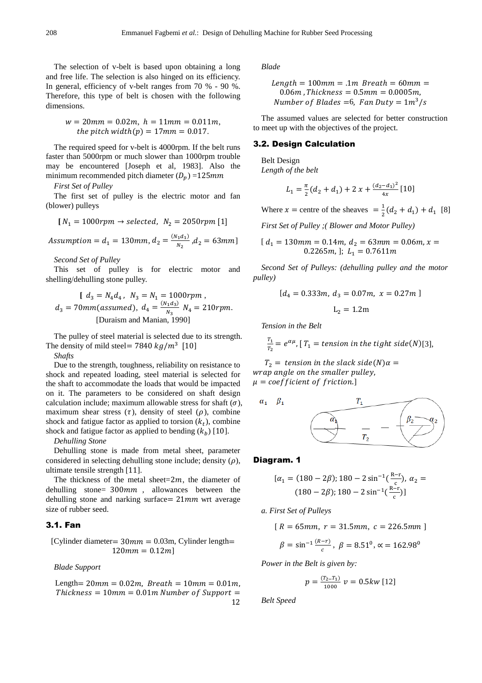The selection of v-belt is based upon obtaining a long and free life. The selection is also hinged on its efficiency. In general, efficiency of v-belt ranges from 70 % - 90 %. Therefore, this type of belt is chosen with the following dimensions.

$$
w = 20mm = 0.02m, h = 11mm = 0.011m,
$$
  
the pitch width(p) = 17mm = 0.017.

The required speed for v-belt is 4000rpm. If the belt runs faster than 5000rpm or much slower than 1000rpm trouble may be encountered [Joseph et al, 1983]. Also the minimum recommended pitch diameter  $(D_n) = 125$ mm

*First Set of Pulley*

The first set of pulley is the electric motor and fan (blower) pulleys

$$
[N_1 = 1000rpm \rightarrow selected, N_2 = 2050 rpm [1]
$$

Assumption = 
$$
d_1 = 130 \text{mm}
$$
,  $d_2 = \frac{(N_1 d_1)}{N_2}$ ,  $d_2 = 63 \text{mm}$ ]

*Second Set of Pulley* 

This set of pulley is for electric motor and shelling/dehulling stone pulley.

$$
[d_3 = N_4 d_4, N_3 = N_1 = 1000 rpm ,d_3 = 70 mm (assumed), d_4 = \frac{(N_1 d_3)}{N_3} N_4 = 210 rpm.
$$
  
[Duraism and Manian, 1990]

The pulley of steel material is selected due to its strength. The density of mild steel=  $7840 \ kg/m^3$  [10]

*Shafts*

Due to the strength, toughness, reliability on resistance to shock and repeated loading, steel material is selected for the shaft to accommodate the loads that would be impacted on it. The parameters to be considered on shaft design calculation include; maximum allowable stress for shaft  $(\sigma)$ , maximum shear stress  $(\tau)$ , density of steel  $(\rho)$ , combine shock and fatigue factor as applied to torsion  $(k_t)$ , combine shock and fatigue factor as applied to bending  $(k_h)$  [10].

*Dehulling Stone*

Dehulling stone is made from metal sheet, parameter considered in selecting dehulling stone include; density  $(\rho)$ , ultimate tensile strength [11].

The thickness of the metal sheet= $2m$ , the diameter of dehulling stone=  $300mm$ , allowances between the dehulling stone and narking surface  $= 21 mm$  wrt average size of rubber seed.

#### 3.1. Fan

[Cylinder diameter=  $30mm = 0.03m$ , Cylinder length=  $120mm = 0.12m$ 

*Blade Support* 

 $Length = 20mm = 0.02m$ ,  $Breath = 10mm = 0.01m$ ,  $Thickness = 10mm = 0.01m$  Number of Support  $=$ 12 *Blade* 

Length = 100mm = .1m *Breath* = 60mm =  
0.06m, Thichness = 0.5mm = 0.0005m,  
Number of Blades =6, Fan Duty = 
$$
1m^3/s
$$

The assumed values are selected for better construction to meet up with the objectives of the project.

### 3.2. Design Calculation

Belt Design *Length of the belt* 

$$
L_1 = \frac{\pi}{2}(d_2 + d_1) + 2 x + \frac{(d_2 - d_1)^2}{4x} [10]
$$

Where  $x =$  centre of the sheaves  $= \frac{1}{2}$  $\frac{1}{2}(d_2 + d_1) + d_1$  [8]

*First Set of Pulley ;( Blower and Motor Pulley)* 

$$
[d_1 = 130mm = 0.14m, d_2 = 63mm = 0.06m, x = 0.2265m,]; L_1 = 0.7611m
$$

*Second Set of Pulleys: (dehulling pulley and the motor pulley)* 

$$
[d_4 = 0.333m, d_3 = 0.07m, x = 0.27m]
$$
  

$$
L_2 = 1.2m
$$

*Tension in the Belt* 

 $T_1$  $\frac{H_1}{T_2} = e^{\alpha \mu}$ , [T<sub>1</sub> = tension in the tight side(N)[3],

 $T_2 =$  tension in the slack side(N) $\alpha =$ wrap angle on the smaller pulley,  $\mu = coefficient of friction.]$ 



#### Diagram. 1

$$
[\alpha_1 = (180 - 2\beta); 180 - 2\sin^{-1}\left(\frac{R-r}{c}\right), \alpha_2 = (180 - 2\beta); 180 - 2\sin^{-1}\left(\frac{R-r}{c}\right)]
$$

*a. First Set of Pulleys* 

$$
[R = 65mm, r = 31.5mm, c = 226.5mm]
$$

$$
\beta = \sin^{-1} \frac{(R-r)}{c}, \ \beta = 8.51^{\circ}, \ \alpha = 162.98^{\circ}
$$

*Power in the Belt is given by:* 

$$
p = \frac{(T_2 - T_1)}{1000} \ v = 0.5kw \ [12]
$$

*Belt Speed*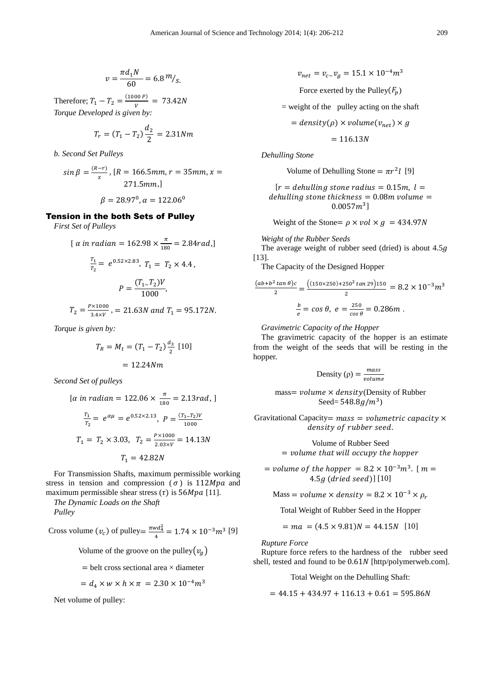$$
v = \frac{\pi d_1 N}{60} = 6.8 m /_{S.}
$$

Therefore;  $T_1 - T_2 = \frac{(1000 P)}{V}$  $\frac{1}{v}$  = 73.42N *Torque Developed is given by:* 

$$
T_r = (T_1 - T_2) \frac{d_2}{2} = 2.31 Nm
$$

*b. Second Set Pulleys* 

 $sin \beta = \frac{(R-r)}{x}$ , [R = 166.5mm, r = 35mm, x =  $271.5mm,$ ]

$$
\beta = 28.97^{\circ}, \alpha = 122.06^{\circ}
$$

### Tension in the both Sets of Pulley

*First Set of Pulleys* 

$$
[\alpha \text{ in radian} = 162.98 \times \frac{\pi}{180} = 2.84 \text{ rad.}]
$$
\n
$$
\frac{T_1}{T_2} = e^{0.52 \times 2.83}, T_1 = T_2 \times 4.4,
$$
\n
$$
P = \frac{(T_1 - T_2)V}{1000},
$$
\n
$$
T = \frac{P \times 1000}{1000} = 24.681, \quad \text{or} \quad \text{or} \quad \text{or} \quad \text{or} \quad \text{or} \quad \text{or} \quad \text{or} \quad \text{or} \quad \text{or} \quad \text{or} \quad \text{or} \quad \text{or} \quad \text{or} \quad \text{or} \quad \text{or} \quad \text{or} \quad \text{or} \quad \text{or} \quad \text{or} \quad \text{or} \quad \text{or} \quad \text{or} \quad \text{or} \quad \text{or} \quad \text{or} \quad \text{or} \quad \text{or} \quad \text{or} \quad \text{or} \quad \text{or} \quad \text{or} \quad \text{or} \quad \text{or} \quad \text{or} \quad \text{or} \quad \text{or} \quad \text{or} \quad \text{or} \quad \text{or} \quad \text{or} \quad \text{or} \quad \text{or} \quad \text{or} \quad \text{or} \quad \text{or} \quad \text{or} \quad \text{or} \quad \text{or} \quad \text{or} \quad \text{or} \quad \text{or} \quad \text{or} \quad \text{or} \quad \text{or} \quad \text{or} \quad \text{or} \quad \text{or} \quad \text{or} \quad \text{or} \quad \text{or} \quad \text{or} \quad \text{or} \quad \text{or} \quad \text{or} \quad \text{or} \quad \text{or} \quad \text{or} \quad \text{or} \quad \text{or} \quad \text{or} \quad \text{or} \quad \text{or} \quad \text{or} \quad \text{or} \quad \text{or} \quad \text{or} \quad \text{or} \quad \text{or} \quad \text{or} \quad \text{or} \quad \text{or} \quad \text{or} \quad \text{or} \quad \text{or} \quad \text{or} \quad \text{or} \quad \
$$

$$
T_2 = \frac{P \times 1000}{3.4 \times V}, = 21.63N \text{ and } T_1 = 95.172N.
$$

*Torque is given by:* 

$$
T_R = M_t = (T_1 - T_2) \frac{d_3}{2} [10]
$$

$$
= 12.24 Nm
$$

*Second Set of pulleys* 

$$
[\alpha \text{ in radian} = 122.06 \times \frac{\pi}{180} = 2.13 \text{ rad}, ]
$$
\n
$$
\frac{T_1}{T_2} = e^{\alpha \mu} = e^{0.52 \times 2.13}, \ P = \frac{(T_1 - T_2)V}{1000}
$$
\n
$$
T_1 = T_2 \times 3.03, \ T_2 = \frac{P \times 1000}{2.03 \times V} = 14.13N
$$
\n
$$
T_1 = 42.82N
$$

For Transmission Shafts, maximum permissible working stress in tension and compression ( $\sigma$ ) is 112Mpa and maximum permissible shear stress  $(\tau)$  is 56*Mpa* [11].

*The Dynamic Loads on the Shaft Pulley* 

Cross volume  $(v_c)$  of pulley= $\frac{\pi w d_4^2}{4}$  $\frac{\sqrt{a_4}}{4} = 1.74 \times 10^{-3} m^3$  [9]

Volume of the groove on the pulley $(v_a)$ 

$$
= \text{belt cross sectional area} \times \text{diameter}
$$

$$
= d_4 \times w \times h \times \pi = 2.30 \times 10^{-4} m^3
$$

Net volume of pulley:

 $v_{net} = v_{c} - v_{g} = 15.1 \times 10^{-4} m^{3}$ 

Force exerted by the Pulley $(F_p)$ 

 $=$  weight of the pulley acting on the shaft

 $= density(\rho) \times volume(v_{net}) \times g$ 

$$
= 116.13N
$$

*Dehulling Stone* 

Volume of Dehulling Stone =  $\pi r^2 l$  [9]

$$
[r = dehulling stone radius = 0.15m, l = dehulling stone thickness = 0.08m volume = 0.0057m3]
$$

Weight of the Stone=  $\rho \times vol \times g$  = 434.97*N* 

*Weight of the Rubber Seeds* 

The average weight of rubber seed (dried) is about  $4.5q$ [13].

The Capacity of the Designed Hopper

$$
\frac{(ab+b^2\tan\theta)c}{2} = \frac{(150\times250) + 250^2\tan 29)150}{2} = 8.2 \times 10^{-3} m^3
$$

$$
\frac{b}{e} = \cos\theta, \ e = \frac{250}{\cos\theta} = 0.286m.
$$

*Gravimetric Capacity of the Hopper* 

The gravimetric capacity of the hopper is an estimate from the weight of the seeds that will be resting in the hopper.

Density 
$$
(\rho) = \frac{mass}{volume}
$$

mass= volume  $\times$  density (Density of Rubber Seed=  $548.8g/m^3$ )

Gravitational Capacity=  $mass = volume$  volumetric capacity  $\times$ density of rubber seed.

> Volume of Rubber Seed  $\,=$  volume that will occupy the hopper

= volume of the hopper =  $8.2 \times 10^{-3} m^3$ . [  $m =$  $4.5g$  (dried seed)]  $[10]$ 

Mass = volume  $\times$  density = 8.2  $\times$  10<sup>-3</sup>  $\times$   $\rho_r$ 

Total Weight of Rubber Seed in the Hopper

$$
= ma = (4.5 \times 9.81)N = 44.15N \quad [10]
$$

*Rupture Force* 

Rupture force refers to the hardness of the rubber seed shell, tested and found to be 0.61N [http/polymerweb.com].

Total Weight on the Dehulling Shaft:

 $= 44.15 + 434.97 + 116.13 + 0.61 = 595.86N$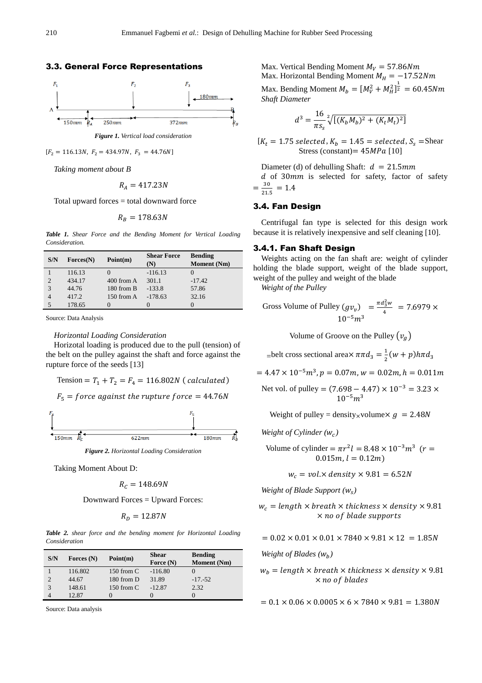



*Figure 1. Vertical load consideration* 

 $[F_2 = 116.13N, F_2 = 434.97N, F_3 = 44.76N]$ 

*Taking moment about B* 

$$
R_A = 417.23N
$$

Total upward forces = total downward force

$$
R_B=178.63N
$$

*Table 1. Shear Force and the Bending Moment for Vertical Loading Consideration.* 

| S/N | $\text{Forces}(\textbf{N})$ | Point(m)      | <b>Shear Force</b> | <b>Bending</b>     |
|-----|-----------------------------|---------------|--------------------|--------------------|
|     |                             |               | (N)                | <b>Moment</b> (Nm) |
|     | 116.13                      | $\mathcal{O}$ | $-116.13$          |                    |
| 2   | 434.17                      | $400$ from A  | 301.1              | $-17.42$           |
| 3   | 44.76                       | 180 from B    | $-133.8$           | 57.86              |
| 4   | 417.2                       | $150$ from A  | $-178.63$          | 32.16              |
|     | 178.65                      | $\mathcal{O}$ |                    |                    |

Source: Data Analysis

#### *Horizontal Loading Consideration*

Horizotal loading is produced due to the pull (tension) of the belt on the pulley against the shaft and force against the rupture force of the seeds [13]

Tension = 
$$
T_1 + T_2 = F_4 = 116.802N
$$
 (*calculated*)  
 $F_5 = force against the rupture force = 44.76N$ 



*Figure 2. Horizontal Loading Consideration* 

Taking Moment About D:

$$
R_c = 148.69N
$$

Downward Forces = Upward Forces:

$$
R_D=12.87N
$$

*Table 2. shear force and the bending moment for Horizontal Loading Consideration* 

| S/N | Forces $(N)$ | Point(m)     | Shear       | <b>Bending</b>     |
|-----|--------------|--------------|-------------|--------------------|
|     |              |              | Force $(N)$ | <b>Moment</b> (Nm) |
|     | 116.802      | $150$ from C | $-116.80$   |                    |
|     | 44.67        | 180 from D   | 31.89       | $-17,-52$          |
| 3   | 148.61       | 150 from $C$ | $-12.87$    | 2.32               |
|     | 12.87        |              |             |                    |

Source: Data analysis

Max. Vertical Bending Moment  $M_V = 57.86 Nm$ Max. Horizontal Bending Moment  $M_H = -17.52Nm$ 

Max. Bending Moment  $M_b = [M_V^2 + M_H^2]_2^{\frac{1}{2}} = 60.45 Nm$ *Shaft Diameter* 

$$
d^{3} = \frac{16}{\pi s_{s}} \sqrt[2]{[(K_{b}M_{b})^{2} + (K_{t}M_{t})^{2}]}
$$

 $[K_t = 1.75 \, selected, K_b = 1.45 = selected, S_s = Shear$ Stress (constant) =  $45MPa$  [10]

Diameter (d) of dehulling Shaft:  $d = 21.5$ mm  $d$  of 30 $mm$  is selected for safety, factor of safety  $=\frac{30}{21}$  $\frac{56}{21.5} = 1.4$ 

#### 3.4. Fan Design

Centrifugal fan type is selected for this design work because it is relatively inexpensive and self cleaning [10].

### 3.4.1. Fan Shaft Design

Weights acting on the fan shaft are: weight of cylinder holding the blade support, weight of the blade support, weight of the pulley and weight of the blade

*Weight of the Pulley* 

Gross Volume of Pulley 
$$
(gv_v)
$$
 =  $\frac{\pi d_3^2 w}{4}$  = 7.6979 x  
10<sup>-5</sup>m<sup>3</sup>

Volume of Groove on the Pulley  $(v_a)$ 

 $=$ belt cross sectional area $\times \pi \pi d_3 = \frac{1}{2}$  $\frac{1}{2}(w+p)h\pi d_3$ 

 $= 4.47 \times 10^{-5} m^3, p = 0.07 m, w = 0.02 m, h = 0.011 m$ 

Net vol. of pulley =  $(7.698 - 4.47) \times 10^{-3} = 3.23 \times$  $10^{-5}m^3$ 

Weight of pulley = density volume  $\times g = 2.48N$ 

$$
Weight of Cylinder(w_c)
$$

Volume of cylinder =  $\pi r^2 l = 8.48 \times 10^{-3} m^3$  ( $r =$  $0.015m, l = 0.12m$ 

 $w_c = vol \times density \times 9.81 = 6.52N$ 

*Weight of Blade Support (*<sup>w</sup> *)* 

 $w_c =$  length  $\times$  breath  $\times$  thickness  $\times$  density  $\times$  9.81  $\times$  no of blade supports

 $= 0.02 \times 0.01 \times 0.01 \times 7840 \times 9.81 \times 12 = 1.85N$ 

*Weight of Blades (W<sub>b</sub>)* 

 $w_b =$  length  $\times$  breath  $\times$  thickness  $\times$  density  $\times$  9.81  $\times$  no of blades

 $= 0.1 \times 0.06 \times 0.0005 \times 6 \times 7840 \times 9.81 = 1.380N$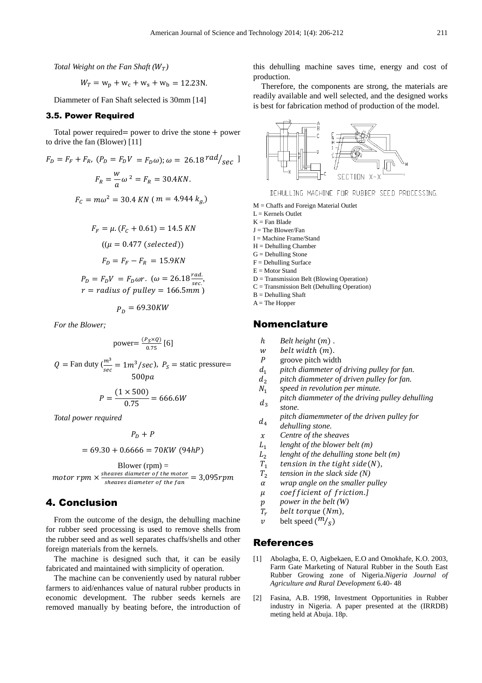*Total Weight on the Fan Shaft*  $(W_T)$ 

$$
W_T = w_p + w_c + w_s + w_b = 12.23 \text{N}.
$$

Diammeter of Fan Shaft selected is 30mm [14]

### 3.5. Power Required

Total power required= power to drive the stone  $+$  power to drive the fan (Blower) [11]

$$
F_D = F_F + F_R, (P_D = F_D V = F_D \omega); \omega = 26.18 \text{ rad/sec} \text{ J}
$$

$$
F_R = \frac{w}{a} \omega^2 = F_R = 30.4 \text{ KN}.
$$

$$
F_C = m\omega^2 = 30.4 \text{ KN} \text{ (m = 4.944 } k_a)
$$

$$
F_F = \mu. (F_C + 0.61) = 14.5 \, KN
$$

$$
((\mu = 0.477 \, (\text{selected}))
$$

$$
F_D = F_F - F_R = 15.9 KN
$$

$$
P_D = F_D V = F_D \omega r. \, (\omega = 26.18 \frac{\text{rad}}{\text{sec}})
$$

$$
P_D = F_D V = F_D \omega r. \quad (\omega = 26.18 \frac{r \omega a}{\text{sec.}},
$$
  

$$
r = radius \text{ of pulley} = 166.5 \text{mm})
$$

 $P_D = 69.30KW$ 

*For the Blower;* 

power=
$$
\frac{(P_S \times Q)}{0.75}
$$
 [6]

$$
Q = \text{Fan duty} \left( \frac{m^3}{\text{sec}} = 1m^3/\text{sec} \right), \ P_S = \text{static pressure} = 500 \text{pa}
$$

$$
P = \frac{(1 \times 500)}{0.75} = 666.6W
$$

*Total power required* 

 $P_D + P$ 

$$
= 69.30 + 0.6666 = 70KW(94hP)
$$

Blower (rpm)  $=$  $motor$   $rpm$   $\times$ sheaves diameter of the motor<br>sheaves diameter of the fan  $= 3.095$ rpm sheaves diameter of the  $fan$ 

### 4. Conclusion

From the outcome of the design, the dehulling machine for rubber seed processing is used to remove shells from the rubber seed and as well separates chaffs/shells and other foreign materials from the kernels.

The machine is designed such that, it can be easily fabricated and maintained with simplicity of operation.

The machine can be conveniently used by natural rubber farmers to aid/enhances value of natural rubber products in economic development. The rubber seeds kernels are removed manually by beating before, the introduction of this dehulling machine saves time, energy and cost of production.

Therefore, the components are strong, the materials are readily available and well selected, and the designed works is best for fabrication method of production of the model.



DEHULLING MACHINE FOR RUBBER SEED PROCESSING.

M = Chaffs and Foreign Material Outlet

 $L =$  Kernels Outlet

- $K =$  Fan Blade
- $J =$ The Blower/Fan
- $I = Machine Frame/Stand$  $H =$  Dehulling Chamber
- $G =$  Dehulling Stone
- F = Dehulling Surface
- E = Motor Stand
- D = Transmission Belt (Blowing Operation)
- C = Transmission Belt (Dehulling Operation)
- $B = Dehulling Shaft$
- $A =$ The Hopper

### Nomenclature

- h *Belt height*  $(m)$ .
- w belt width (m).
- $P$  groove pitch width  $d_1$  *pitch diammeter of*
- *pitch diammeter of driving pulley for fan.*
- *pitch diammeter of driven pulley for fan.*
- $N_{1}$ *speed in revolution per minute.*
- $d_3$ *pitch diammeter of the driving pulley dehulling stone.*

*pitch diamemmeter of the driven pulley for* 

- $d_4$ *dehulling stone.*
- B *Centre of the sheaves*
- $L_1$ *lenght of the blower belt (m)*
- $L_{2}$ *lenght of the dehulling stone belt (m)*
- $T_1$ tension in the tight side(N),
- $T_2$ *tension in the slack side (N)*
- wrap angle on the smaller pulley
- μ coefficient of friction.]
- *p power in the belt (W)*<br>*T<sub>r</sub> belt torque (Nm)*,
- $T_r$  belt torque (Nm),
- $v$  belt speed  $(\frac{m}{s})$

### References

- [1] Abolagba, E. O, Aigbekaen, E.O and Omokhafe, K.O. 2003, Farm Gate Marketing of Natural Rubber in the South East Rubber Growing zone of Nigeria.*Nigeria Journal of Agriculture and Rural Development* 6.40- 48
- [2] Fasina, A.B. 1998, Investment Opportunities in Rubber industry in Nigeria. A paper presented at the (IRRDB) meting held at Abuja. 18p.